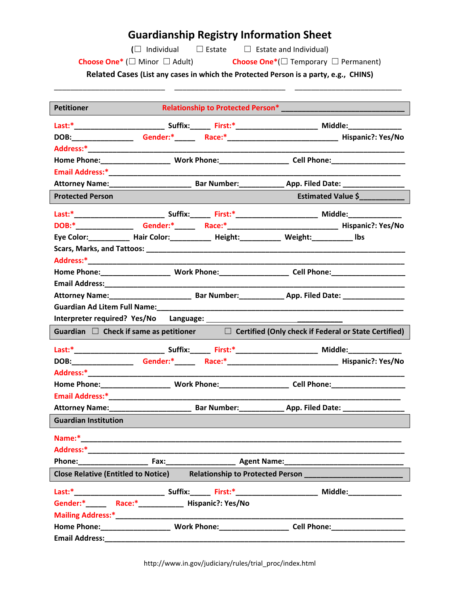## **Guardianship Registry Information Sheet**

**(**☐ Individual ☐ Estate ☐ Estate and Individual)

**Choose One\*** (☐ Minor ☐ Adult) **Choose One\***(☐ Temporary ☐ Permanent)

**Related Cases (List any cases in which the Protected Person is a party, e.g., CHINS)** \_\_\_\_\_\_\_\_\_\_\_\_\_\_\_\_\_\_\_\_\_\_\_\_\_\_\_ \_\_\_\_\_\_\_\_\_\_\_\_\_\_\_\_\_\_\_\_\_\_\_\_\_\_\_ \_\_\_\_\_\_\_\_\_\_\_\_\_\_\_\_\_\_\_\_\_\_\_\_\_\_

| <b>Petitioner</b>                                                                                               |  |  |  |                    |  |
|-----------------------------------------------------------------------------------------------------------------|--|--|--|--------------------|--|
|                                                                                                                 |  |  |  |                    |  |
|                                                                                                                 |  |  |  |                    |  |
|                                                                                                                 |  |  |  |                    |  |
|                                                                                                                 |  |  |  |                    |  |
|                                                                                                                 |  |  |  |                    |  |
|                                                                                                                 |  |  |  |                    |  |
| <b>Protected Person</b>                                                                                         |  |  |  | Estimated Value \$ |  |
|                                                                                                                 |  |  |  |                    |  |
|                                                                                                                 |  |  |  |                    |  |
| Eye Color:____________ Hair Color:_____________ Height:___________ Weight:_____________ Ibs                     |  |  |  |                    |  |
|                                                                                                                 |  |  |  |                    |  |
|                                                                                                                 |  |  |  |                    |  |
|                                                                                                                 |  |  |  |                    |  |
|                                                                                                                 |  |  |  |                    |  |
|                                                                                                                 |  |  |  |                    |  |
|                                                                                                                 |  |  |  |                    |  |
| Interpreter required? Yes/No Language: National Contract of the Contract of the Contract of the Contract of the |  |  |  |                    |  |
| Guardian $\Box$ Check if same as petitioner $\Box$ Certified (Only check if Federal or State Certified)         |  |  |  |                    |  |
|                                                                                                                 |  |  |  |                    |  |
|                                                                                                                 |  |  |  |                    |  |
|                                                                                                                 |  |  |  |                    |  |
|                                                                                                                 |  |  |  |                    |  |
|                                                                                                                 |  |  |  |                    |  |
|                                                                                                                 |  |  |  |                    |  |
| <b>Guardian Institution</b>                                                                                     |  |  |  |                    |  |
| Name:*                                                                                                          |  |  |  |                    |  |
|                                                                                                                 |  |  |  |                    |  |
|                                                                                                                 |  |  |  |                    |  |
| <b>Close Relative (Entitled to Notice)</b>                                                                      |  |  |  |                    |  |
| Last:* Suffix: First:* Middle:                                                                                  |  |  |  |                    |  |
|                                                                                                                 |  |  |  |                    |  |
|                                                                                                                 |  |  |  |                    |  |
|                                                                                                                 |  |  |  |                    |  |
|                                                                                                                 |  |  |  |                    |  |